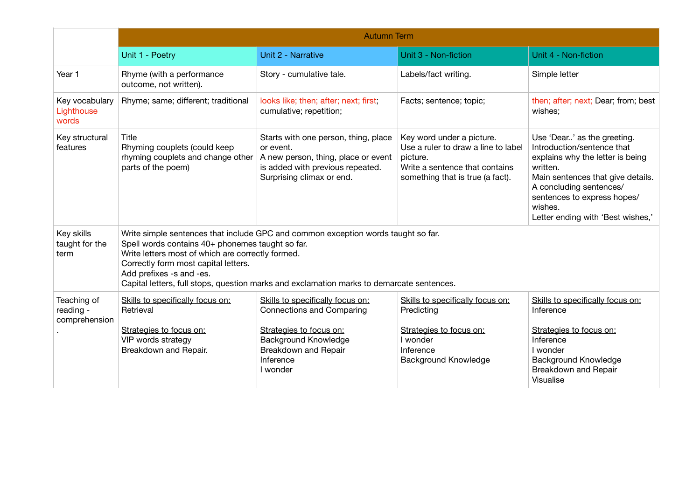|                                           | <b>Autumn Term</b>                                                                                                                                                                                                                                                                                                                                          |                                                                                                                                                                                 |                                                                                                                                                    |                                                                                                                                                                                                                                                          |  |  |
|-------------------------------------------|-------------------------------------------------------------------------------------------------------------------------------------------------------------------------------------------------------------------------------------------------------------------------------------------------------------------------------------------------------------|---------------------------------------------------------------------------------------------------------------------------------------------------------------------------------|----------------------------------------------------------------------------------------------------------------------------------------------------|----------------------------------------------------------------------------------------------------------------------------------------------------------------------------------------------------------------------------------------------------------|--|--|
|                                           | Unit 1 - Poetry                                                                                                                                                                                                                                                                                                                                             | Unit 2 - Narrative                                                                                                                                                              | Unit 3 - Non-fiction                                                                                                                               | Unit 4 - Non-fiction                                                                                                                                                                                                                                     |  |  |
| Year 1                                    | Rhyme (with a performance<br>outcome, not written).                                                                                                                                                                                                                                                                                                         | Story - cumulative tale.                                                                                                                                                        | Labels/fact writing.                                                                                                                               | Simple letter                                                                                                                                                                                                                                            |  |  |
| Key vocabulary<br>Lighthouse<br>words     | Rhyme; same; different; traditional                                                                                                                                                                                                                                                                                                                         | looks like; then; after; next; first;<br>cumulative; repetition;                                                                                                                | Facts; sentence; topic;                                                                                                                            | then; after; next; Dear; from; best<br>wishes;                                                                                                                                                                                                           |  |  |
| Key structural<br>features                | Title<br>Rhyming couplets (could keep<br>rhyming couplets and change other<br>parts of the poem)                                                                                                                                                                                                                                                            | Starts with one person, thing, place<br>or event.<br>A new person, thing, place or event<br>is added with previous repeated.<br>Surprising climax or end.                       | Key word under a picture.<br>Use a ruler to draw a line to label<br>picture.<br>Write a sentence that contains<br>something that is true (a fact). | Use 'Dear' as the greeting.<br>Introduction/sentence that<br>explains why the letter is being<br>written.<br>Main sentences that give details.<br>A concluding sentences/<br>sentences to express hopes/<br>wishes.<br>Letter ending with 'Best wishes,' |  |  |
| Key skills<br>taught for the<br>term      | Write simple sentences that include GPC and common exception words taught so far.<br>Spell words contains 40+ phonemes taught so far.<br>Write letters most of which are correctly formed.<br>Correctly form most capital letters.<br>Add prefixes -s and -es.<br>Capital letters, full stops, question marks and exclamation marks to demarcate sentences. |                                                                                                                                                                                 |                                                                                                                                                    |                                                                                                                                                                                                                                                          |  |  |
| Teaching of<br>reading -<br>comprehension | Skills to specifically focus on:<br>Retrieval<br>Strategies to focus on:<br>VIP words strategy<br>Breakdown and Repair.                                                                                                                                                                                                                                     | Skills to specifically focus on:<br><b>Connections and Comparing</b><br>Strategies to focus on:<br><b>Background Knowledge</b><br>Breakdown and Repair<br>Inference<br>I wonder | Skills to specifically focus on:<br>Predicting<br>Strategies to focus on:<br>I wonder<br>Inference<br>Background Knowledge                         | Skills to specifically focus on:<br>Inference<br>Strategies to focus on:<br>Inference<br>I wonder<br><b>Background Knowledge</b><br>Breakdown and Repair<br>Visualise                                                                                    |  |  |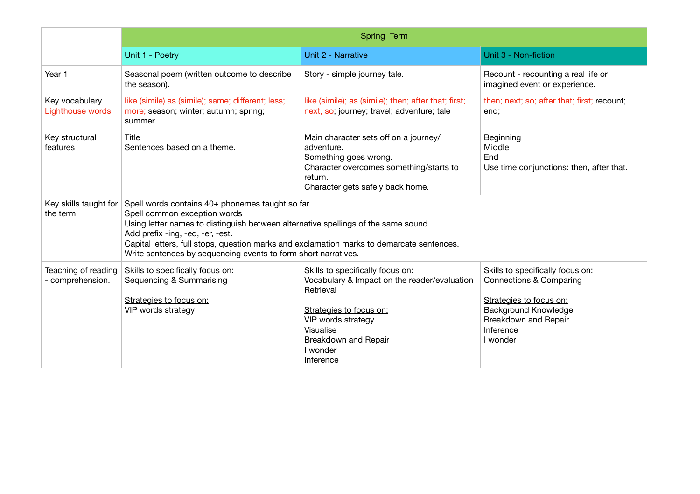|                                         | Spring Term                                                                                                                                                                                                                                                                                                                                                               |                                                                                                                                                                                                              |                                                                                                                                                                        |  |  |
|-----------------------------------------|---------------------------------------------------------------------------------------------------------------------------------------------------------------------------------------------------------------------------------------------------------------------------------------------------------------------------------------------------------------------------|--------------------------------------------------------------------------------------------------------------------------------------------------------------------------------------------------------------|------------------------------------------------------------------------------------------------------------------------------------------------------------------------|--|--|
|                                         | Unit 1 - Poetry                                                                                                                                                                                                                                                                                                                                                           | Unit 2 - Narrative                                                                                                                                                                                           | Unit 3 - Non-fiction                                                                                                                                                   |  |  |
| Year 1                                  | Seasonal poem (written outcome to describe<br>the season).                                                                                                                                                                                                                                                                                                                | Story - simple journey tale.                                                                                                                                                                                 | Recount - recounting a real life or<br>imagined event or experience.                                                                                                   |  |  |
| Key vocabulary<br>Lighthouse words      | like (simile) as (simile); same; different; less;<br>more; season; winter; autumn; spring;<br>summer                                                                                                                                                                                                                                                                      | like (simile); as (simile); then; after that; first;<br>next, so; journey; travel; adventure; tale                                                                                                           | then; next; so; after that; first; recount;<br>end;                                                                                                                    |  |  |
| Key structural<br>features              | Title<br>Sentences based on a theme.                                                                                                                                                                                                                                                                                                                                      | Main character sets off on a journey/<br>adventure.<br>Something goes wrong.<br>Character overcomes something/starts to<br>return.<br>Character gets safely back home.                                       | Beginning<br>Middle<br>End<br>Use time conjunctions: then, after that.                                                                                                 |  |  |
| Key skills taught for<br>the term       | Spell words contains 40+ phonemes taught so far.<br>Spell common exception words<br>Using letter names to distinguish between alternative spellings of the same sound.<br>Add prefix -ing, -ed, -er, -est.<br>Capital letters, full stops, question marks and exclamation marks to demarcate sentences.<br>Write sentences by sequencing events to form short narratives. |                                                                                                                                                                                                              |                                                                                                                                                                        |  |  |
| Teaching of reading<br>- comprehension. | Skills to specifically focus on:<br>Sequencing & Summarising<br>Strategies to focus on:<br>VIP words strategy                                                                                                                                                                                                                                                             | Skills to specifically focus on:<br>Vocabulary & Impact on the reader/evaluation<br>Retrieval<br>Strategies to focus on:<br>VIP words strategy<br>Visualise<br>Breakdown and Repair<br>I wonder<br>Inference | Skills to specifically focus on:<br>Connections & Comparing<br>Strategies to focus on:<br><b>Background Knowledge</b><br>Breakdown and Repair<br>Inference<br>I wonder |  |  |